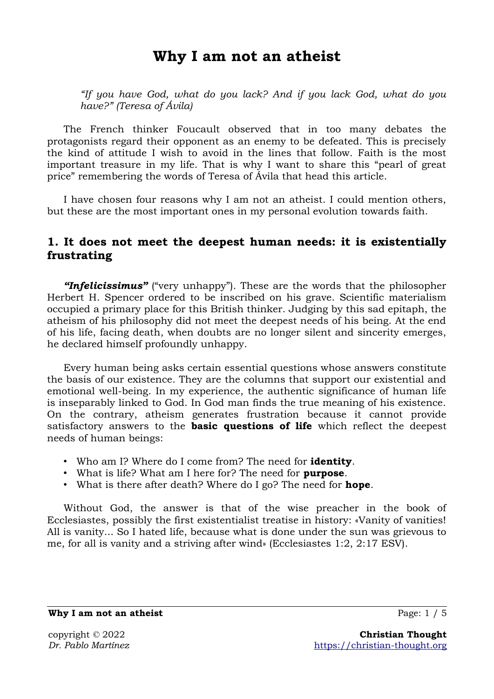# **Why I am not an atheist**

*"If you have God, what do you lack? And if you lack God, what do you have?" (Teresa of Ávila)*

The French thinker Foucault observed that in too many debates the protagonists regard their opponent as an enemy to be defeated. This is precisely the kind of attitude I wish to avoid in the lines that follow. Faith is the most important treasure in my life. That is why I want to share this "pearl of great price" remembering the words of Teresa of Ávila that head this article.

I have chosen four reasons why I am not an atheist. I could mention others, but these are the most important ones in my personal evolution towards faith.

## **1. It does not meet the deepest human needs: it is existentially frustrating**

*"Infelicissimus"* ("very unhappy"). These are the words that the philosopher Herbert H. Spencer ordered to be inscribed on his grave. Scientific materialism occupied a primary place for this British thinker. Judging by this sad epitaph, the atheism of his philosophy did not meet the deepest needs of his being. At the end of his life, facing death, when doubts are no longer silent and sincerity emerges, he declared himself profoundly unhappy.

Every human being asks certain essential questions whose answers constitute the basis of our existence. They are the columns that support our existential and emotional well-being. In my experience, the authentic significance of human life is inseparably linked to God. In God man finds the true meaning of his existence. On the contrary, atheism generates frustration because it cannot provide satisfactory answers to the **basic questions of life** which reflect the deepest needs of human beings:

- Who am I? Where do I come from? The need for **identity**.
- What is life? What am I here for? The need for **purpose**.
- What is there after death? Where do I go? The need for **hope**.

Without God, the answer is that of the wise preacher in the book of Ecclesiastes, possibly the first existentialist treatise in history: «Vanity of vanities! All is vanity... So I hated life, because what is done under the sun was grievous to me, for all is vanity and a striving after wind» (Ecclesiastes 1:2, 2:17 ESV).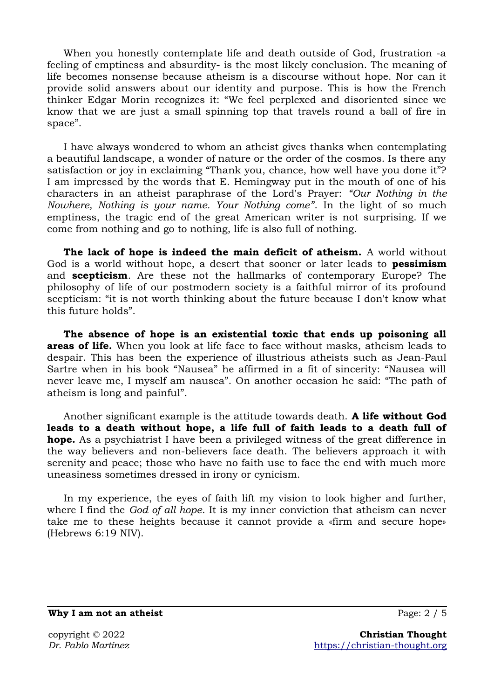When you honestly contemplate life and death outside of God, frustration -a feeling of emptiness and absurdity- is the most likely conclusion. The meaning of life becomes nonsense because atheism is a discourse without hope. Nor can it provide solid answers about our identity and purpose. This is how the French thinker Edgar Morin recognizes it: "We feel perplexed and disoriented since we know that we are just a small spinning top that travels round a ball of fire in space".

I have always wondered to whom an atheist gives thanks when contemplating a beautiful landscape, a wonder of nature or the order of the cosmos. Is there any satisfaction or joy in exclaiming "Thank you, chance, how well have you done it"? I am impressed by the words that E. Hemingway put in the mouth of one of his characters in an atheist paraphrase of the Lord's Prayer: *"Our Nothing in the Nowhere, Nothing is your name. Your Nothing come"*. In the light of so much emptiness, the tragic end of the great American writer is not surprising. If we come from nothing and go to nothing, life is also full of nothing.

**The lack of hope is indeed the main deficit of atheism.** A world without God is a world without hope, a desert that sooner or later leads to **pessimism** and **scepticism**. Are these not the hallmarks of contemporary Europe? The philosophy of life of our postmodern society is a faithful mirror of its profound scepticism: "it is not worth thinking about the future because I don't know what this future holds".

**The absence of hope is an existential toxic that ends up poisoning all areas of life.** When you look at life face to face without masks, atheism leads to despair. This has been the experience of illustrious atheists such as Jean-Paul Sartre when in his book "Nausea" he affirmed in a fit of sincerity: "Nausea will never leave me, I myself am nausea". On another occasion he said: "The path of atheism is long and painful".

Another significant example is the attitude towards death. **A life without God leads to a death without hope, a life full of faith leads to a death full of hope.** As a psychiatrist I have been a privileged witness of the great difference in the way believers and non-believers face death. The believers approach it with serenity and peace; those who have no faith use to face the end with much more uneasiness sometimes dressed in irony or cynicism.

In my experience, the eyes of faith lift my vision to look higher and further, where I find the *God of all hope*. It is my inner conviction that atheism can never take me to these heights because it cannot provide a «firm and secure hope» (Hebrews 6:19 NIV).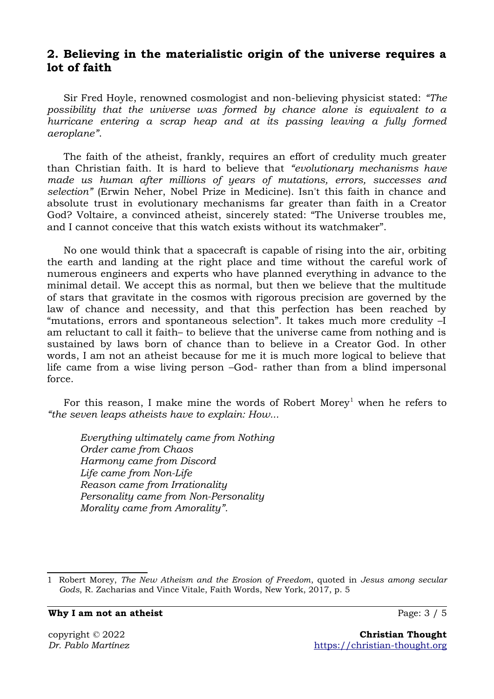## **2. Believing in the materialistic origin of the universe requires a lot of faith**

Sir Fred Hoyle, renowned cosmologist and non-believing physicist stated: *"The possibility that the universe was formed by chance alone is equivalent to a hurricane entering a scrap heap and at its passing leaving a fully formed aeroplane"*.

The faith of the atheist, frankly, requires an effort of credulity much greater than Christian faith. It is hard to believe that *"evolutionary mechanisms have made us human after millions of years of mutations, errors, successes and selection"* (Erwin Neher, Nobel Prize in Medicine). Isn't this faith in chance and absolute trust in evolutionary mechanisms far greater than faith in a Creator God? Voltaire, a convinced atheist, sincerely stated: "The Universe troubles me, and I cannot conceive that this watch exists without its watchmaker".

No one would think that a spacecraft is capable of rising into the air, orbiting the earth and landing at the right place and time without the careful work of numerous engineers and experts who have planned everything in advance to the minimal detail. We accept this as normal, but then we believe that the multitude of stars that gravitate in the cosmos with rigorous precision are governed by the law of chance and necessity, and that this perfection has been reached by "mutations, errors and spontaneous selection". It takes much more credulity –I am reluctant to call it faith– to believe that the universe came from nothing and is sustained by laws born of chance than to believe in a Creator God. In other words, I am not an atheist because for me it is much more logical to believe that life came from a wise living person –God- rather than from a blind impersonal force.

For this reason, I make mine the words of Robert Morey<sup>[1](#page-2-1)</sup> when he refers to *"the seven leaps atheists have to explain: How...*

*Everything ultimately came from Nothing Order came from Chaos Harmony came from Discord Life came from Non-Life Reason came from Irrationality Personality came from Non-Personality Morality came from Amorality".*

**Why I am not an atheist Page: 3 / 5** 

<span id="page-2-0"></span>

<span id="page-2-1"></span>[<sup>1</sup>](#page-2-0) Robert Morey, *The New Atheism and the Erosion of Freedom*, quoted in *Jesus among secular Gods*, R. Zacharias and Vince Vitale, Faith Words, New York, 2017, p. 5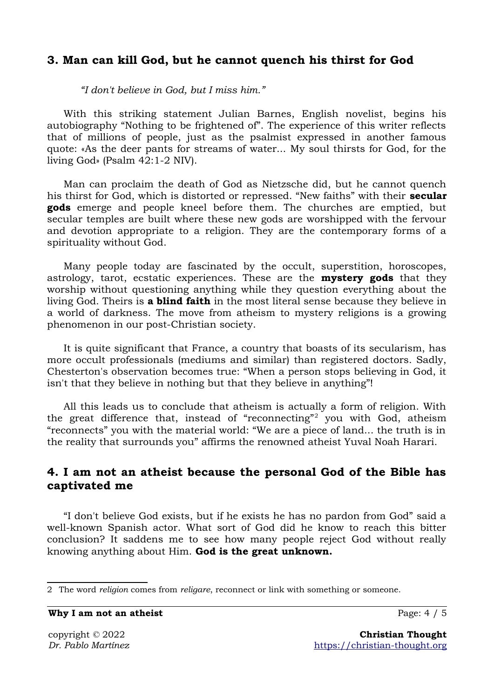#### **3. Man can kill God, but he cannot quench his thirst for God**

*"I don't believe in God, but I miss him."*

With this striking statement Julian Barnes, English novelist, begins his autobiography "Nothing to be frightened of". The experience of this writer reflects that of millions of people, just as the psalmist expressed in another famous quote: «As the deer pants for streams of water... My soul thirsts for God, for the living God» (Psalm 42:1-2 NIV).

Man can proclaim the death of God as Nietzsche did, but he cannot quench his thirst for God, which is distorted or repressed. "New faiths" with their **secular gods** emerge and people kneel before them. The churches are emptied, but secular temples are built where these new gods are worshipped with the fervour and devotion appropriate to a religion. They are the contemporary forms of a spirituality without God.

Many people today are fascinated by the occult, superstition, horoscopes, astrology, tarot, ecstatic experiences. These are the **mystery gods** that they worship without questioning anything while they question everything about the living God. Theirs is **a blind faith** in the most literal sense because they believe in a world of darkness. The move from atheism to mystery religions is a growing phenomenon in our post-Christian society.

It is quite significant that France, a country that boasts of its secularism, has more occult professionals (mediums and similar) than registered doctors. Sadly, Chesterton's observation becomes true: "When a person stops believing in God, it isn't that they believe in nothing but that they believe in anything"!

<span id="page-3-0"></span>All this leads us to conclude that atheism is actually a form of religion. With the great difference that, instead of "reconnecting"<sup>[2](#page-3-1)</sup> you with God, atheism "reconnects" you with the material world: "We are a piece of land... the truth is in the reality that surrounds you" affirms the renowned atheist Yuval Noah Harari.

### **4. I am not an atheist because the personal God of the Bible has captivated me**

"I don't believe God exists, but if he exists he has no pardon from God" said a well-known Spanish actor. What sort of God did he know to reach this bitter conclusion? It saddens me to see how many people reject God without really knowing anything about Him. **God is the great unknown.**

**Why I am not an atheist** Page: 4 / 5

<span id="page-3-1"></span>[<sup>2</sup>](#page-3-0) The word *religion* comes from *religare*, reconnect or link with something or someone.